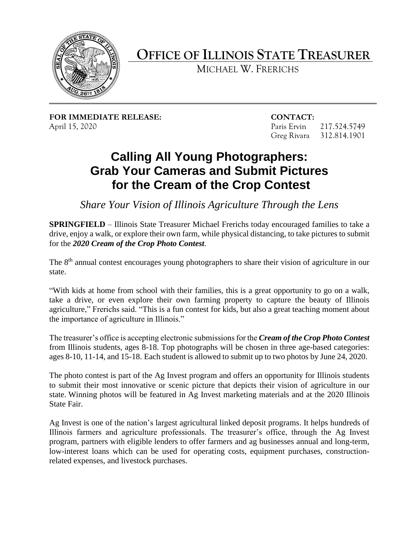

## **OFFICE OF ILLINOIS STATE TREASURER**

MICHAEL W. FRERICHS

**FOR IMMEDIATE RELEASE: CONTACT:**  April 15, 2020 Paris Ervin 217.524.5749

Greg Rivara 312.814.1901

## **Calling All Young Photographers: Grab Your Cameras and Submit Pictures for the Cream of the Crop Contest**

*Share Your Vision of Illinois Agriculture Through the Lens* 

 **SPRINGFIELD** – Illinois State Treasurer Michael Frerichs today encouraged families to take a drive, enjoy a walk, or explore their own farm, while physical distancing, to take pictures to submit for the *2020 Cream of the Crop Photo Contest*.

The 8<sup>th</sup> annual contest encourages young photographers to share their vision of agriculture in our state.

 "With kids at home from school with their families, this is a great opportunity to go on a walk, take a drive, or even explore their own farming property to capture the beauty of Illinois agriculture," Frerichs said. "This is a fun contest for kids, but also a great teaching moment about the importance of agriculture in Illinois."

 from Illinois students, ages 8-18. Top photographs will be chosen in three age-based categories: The treasurer's office is accepting electronic submissions for the *Cream of the Crop Photo Contest*  ages 8-10, 11-14, and 15-18. Each student is allowed to submit up to two photos by June 24, 2020.

 to submit their most innovative or scenic picture that depicts their vision of agriculture in our state. Winning photos will be featured in Ag Invest marketing materials and at the 2020 Illinois The photo contest is part of the Ag Invest program and offers an opportunity for Illinois students State Fair.

 low-interest loans which can be used for operating costs, equipment purchases, construction- related expenses, and livestock purchases. Ag Invest is one of the nation's largest agricultural linked deposit programs. It helps hundreds of Illinois farmers and agriculture professionals. The treasurer's office, through the Ag Invest program, partners with eligible lenders to offer farmers and ag businesses annual and long-term,